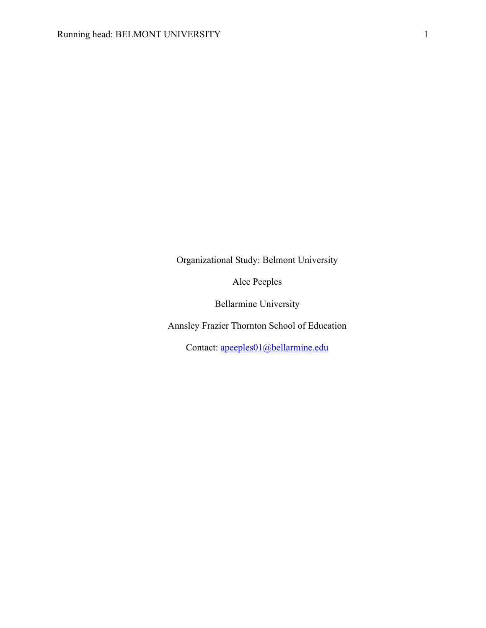Organizational Study: Belmont University

Alec Peeples

Bellarmine University

Annsley Frazier Thornton School of Education

Contact: apeeples01@bellarmine.edu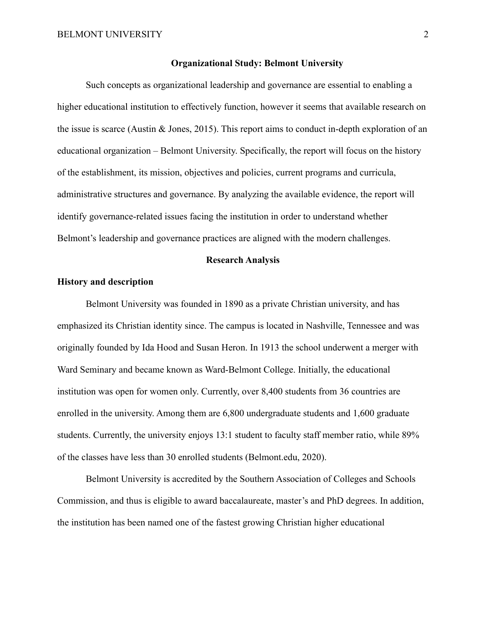#### **Organizational Study: Belmont University**

Such concepts as organizational leadership and governance are essential to enabling a higher educational institution to effectively function, however it seems that available research on the issue is scarce (Austin & Jones, 2015). This report aims to conduct in-depth exploration of an educational organization – Belmont University. Specifically, the report will focus on the history of the establishment, its mission, objectives and policies, current programs and curricula, administrative structures and governance. By analyzing the available evidence, the report will identify governance-related issues facing the institution in order to understand whether Belmont's leadership and governance practices are aligned with the modern challenges.

#### **Research Analysis**

# **History and description**

Belmont University was founded in 1890 as a private Christian university, and has emphasized its Christian identity since. The campus is located in Nashville, Tennessee and was originally founded by Ida Hood and Susan Heron. In 1913 the school underwent a merger with Ward Seminary and became known as Ward-Belmont College. Initially, the educational institution was open for women only. Currently, over 8,400 students from 36 countries are enrolled in the university. Among them are 6,800 undergraduate students and 1,600 graduate students. Currently, the university enjoys 13:1 student to faculty staff member ratio, while 89% of the classes have less than 30 enrolled students (Belmont.edu, 2020).

Belmont University is accredited by the Southern Association of Colleges and Schools Commission, and thus is eligible to award baccalaureate, master's and PhD degrees. In addition, the institution has been named one of the fastest growing Christian higher educational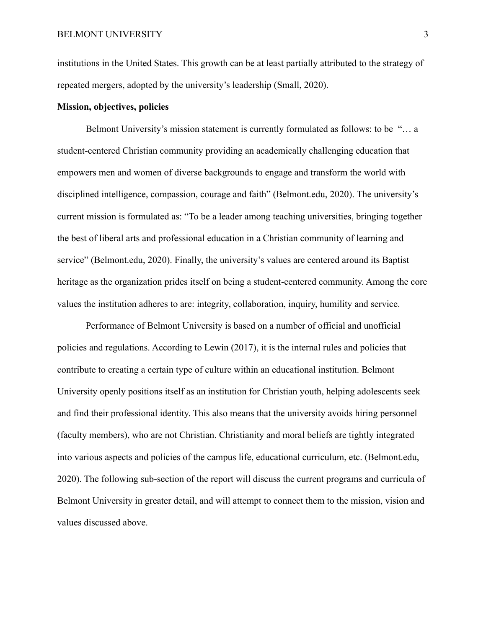institutions in the United States. This growth can be at least partially attributed to the strategy of repeated mergers, adopted by the university's leadership (Small, 2020).

## **Mission, objectives, policies**

Belmont University's mission statement is currently formulated as follows: to be "… a student-centered Christian community providing an academically challenging education that empowers men and women of diverse backgrounds to engage and transform the world with disciplined intelligence, compassion, courage and faith" (Belmont.edu, 2020). The university's current mission is formulated as: "To be a leader among teaching universities, bringing together the best of liberal arts and professional education in a Christian community of learning and service" (Belmont.edu, 2020). Finally, the university's values are centered around its Baptist heritage as the organization prides itself on being a student-centered community. Among the core values the institution adheres to are: integrity, collaboration, inquiry, humility and service.

Performance of Belmont University is based on a number of official and unofficial policies and regulations. According to Lewin (2017), it is the internal rules and policies that contribute to creating a certain type of culture within an educational institution. Belmont University openly positions itself as an institution for Christian youth, helping adolescents seek and find their professional identity. This also means that the university avoids hiring personnel (faculty members), who are not Christian. Christianity and moral beliefs are tightly integrated into various aspects and policies of the campus life, educational curriculum, etc. (Belmont.edu, 2020). The following sub-section of the report will discuss the current programs and curricula of Belmont University in greater detail, and will attempt to connect them to the mission, vision and values discussed above.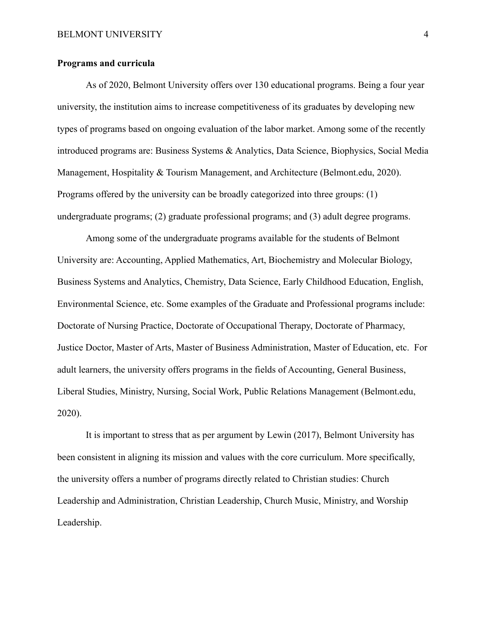# **Programs and curricula**

As of 2020, Belmont University offers over 130 educational programs. Being a four year university, the institution aims to increase competitiveness of its graduates by developing new types of programs based on ongoing evaluation of the labor market. Among some of the recently introduced programs are: Business Systems & Analytics, Data Science, Biophysics, Social Media Management, Hospitality & Tourism Management, and Architecture (Belmont.edu, 2020). Programs offered by the university can be broadly categorized into three groups: (1) undergraduate programs; (2) graduate professional programs; and (3) adult degree programs.

Among some of the undergraduate programs available for the students of Belmont University are: Accounting, Applied Mathematics, Art, Biochemistry and Molecular Biology, Business Systems and Analytics, Chemistry, Data Science, Early Childhood Education, English, Environmental Science, etc. Some examples of the Graduate and Professional programs include: Doctorate of Nursing Practice, Doctorate of Occupational Therapy, Doctorate of Pharmacy, Justice Doctor, Master of Arts, Master of Business Administration, Master of Education, etc. For adult learners, the university offers programs in the fields of Accounting, General Business, Liberal Studies, Ministry, Nursing, Social Work, Public Relations Management (Belmont.edu, 2020).

It is important to stress that as per argument by Lewin (2017), Belmont University has been consistent in aligning its mission and values with the core curriculum. More specifically, the university offers a number of programs directly related to Christian studies: Church Leadership and Administration, Christian Leadership, Church Music, Ministry, and Worship Leadership.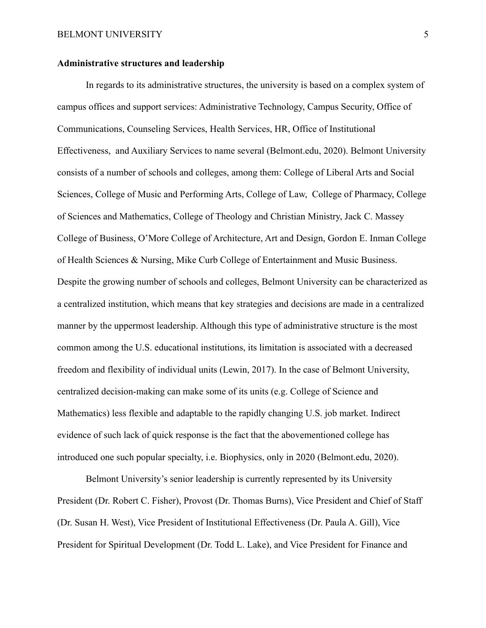# **Administrative structures and leadership**

In regards to its administrative structures, the university is based on a complex system of campus offices and support services: Administrative Technology, Campus Security, Office of Communications, Counseling Services, Health Services, HR, Office of Institutional Effectiveness, and Auxiliary Services to name several (Belmont.edu, 2020). Belmont University consists of a number of schools and colleges, among them: College of Liberal Arts and Social Sciences, College of Music and Performing Arts, College of Law, College of Pharmacy, College of Sciences and Mathematics, College of Theology and Christian Ministry, Jack C. Massey College of Business, O'More College of Architecture, Art and Design, Gordon E. Inman College of Health Sciences & Nursing, Mike Curb College of Entertainment and Music Business. Despite the growing number of schools and colleges, Belmont University can be characterized as a centralized institution, which means that key strategies and decisions are made in a centralized manner by the uppermost leadership. Although this type of administrative structure is the most common among the U.S. educational institutions, its limitation is associated with a decreased freedom and flexibility of individual units (Lewin, 2017). In the case of Belmont University, centralized decision-making can make some of its units (e.g. College of Science and Mathematics) less flexible and adaptable to the rapidly changing U.S. job market. Indirect evidence of such lack of quick response is the fact that the abovementioned college has introduced one such popular specialty, i.e. Biophysics, only in 2020 (Belmont.edu, 2020).

Belmont University's senior leadership is currently represented by its University President (Dr. Robert C. Fisher), Provost (Dr. Thomas Burns), Vice President and Chief of Staff (Dr. Susan H. West), Vice President of Institutional Effectiveness (Dr. Paula A. Gill), Vice President for Spiritual Development (Dr. Todd L. Lake), and Vice President for Finance and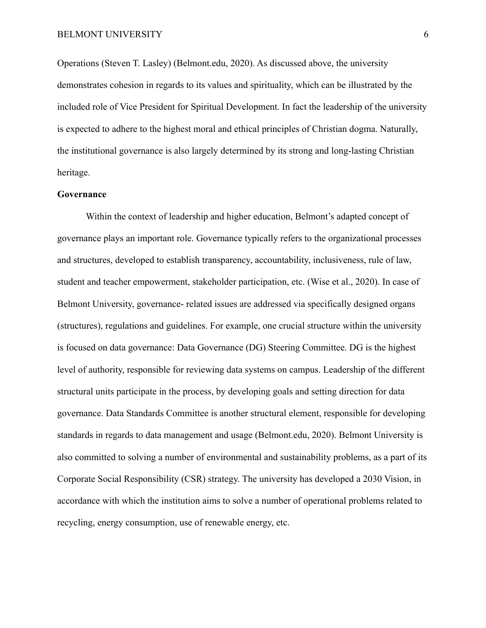Operations (Steven T. Lasley) (Belmont.edu, 2020). As discussed above, the university demonstrates cohesion in regards to its values and spirituality, which can be illustrated by the included role of Vice President for Spiritual Development. In fact the leadership of the university is expected to adhere to the highest moral and ethical principles of Christian dogma. Naturally, the institutional governance is also largely determined by its strong and long-lasting Christian heritage.

## **Governance**

Within the context of leadership and higher education, Belmont's adapted concept of governance plays an important role. Governance typically refers to the organizational processes and structures, developed to establish transparency, accountability, inclusiveness, rule of law, student and teacher empowerment, stakeholder participation, etc. (Wise et al., 2020). In case of Belmont University, governance- related issues are addressed via specifically designed organs (structures), regulations and guidelines. For example, one crucial structure within the university is focused on data governance: Data Governance (DG) Steering Committee. DG is the highest level of authority, responsible for reviewing data systems on campus. Leadership of the different structural units participate in the process, by developing goals and setting direction for data governance. Data Standards Committee is another structural element, responsible for developing standards in regards to data management and usage (Belmont.edu, 2020). Belmont University is also committed to solving a number of environmental and sustainability problems, as a part of its Corporate Social Responsibility (CSR) strategy. The university has developed a 2030 Vision, in accordance with which the institution aims to solve a number of operational problems related to recycling, energy consumption, use of renewable energy, etc.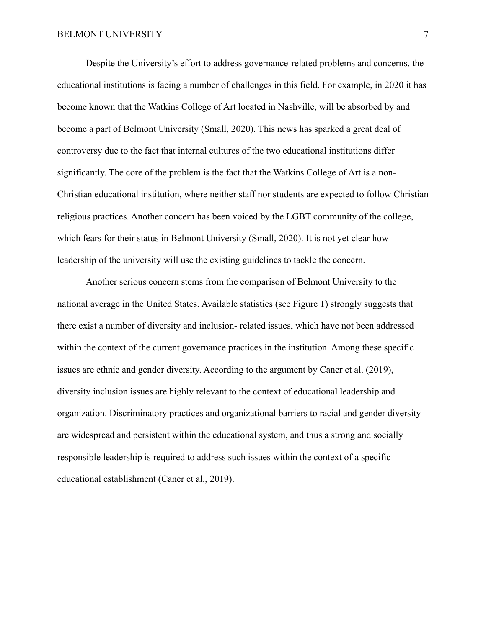Despite the University's effort to address governance-related problems and concerns, the educational institutions is facing a number of challenges in this field. For example, in 2020 it has become known that the Watkins College of Art located in Nashville, will be absorbed by and become a part of Belmont University (Small, 2020). This news has sparked a great deal of controversy due to the fact that internal cultures of the two educational institutions differ significantly. The core of the problem is the fact that the Watkins College of Art is a non-Christian educational institution, where neither staff nor students are expected to follow Christian religious practices. Another concern has been voiced by the LGBT community of the college, which fears for their status in Belmont University (Small, 2020). It is not yet clear how leadership of the university will use the existing guidelines to tackle the concern.

Another serious concern stems from the comparison of Belmont University to the national average in the United States. Available statistics (see Figure 1) strongly suggests that there exist a number of diversity and inclusion- related issues, which have not been addressed within the context of the current governance practices in the institution. Among these specific issues are ethnic and gender diversity. According to the argument by Caner et al. (2019), diversity inclusion issues are highly relevant to the context of educational leadership and organization. Discriminatory practices and organizational barriers to racial and gender diversity are widespread and persistent within the educational system, and thus a strong and socially responsible leadership is required to address such issues within the context of a specific educational establishment (Caner et al., 2019).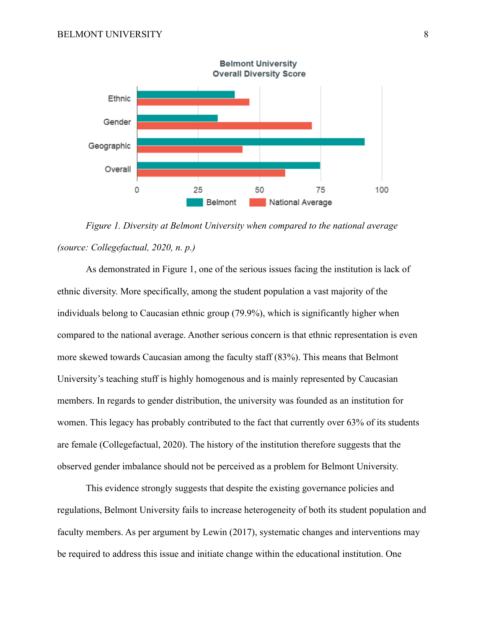

*Figure 1. Diversity at Belmont University when compared to the national average (source: Collegefactual, 2020, n. p.)*

As demonstrated in Figure 1, one of the serious issues facing the institution is lack of ethnic diversity. More specifically, among the student population a vast majority of the individuals belong to Caucasian ethnic group (79.9%), which is significantly higher when compared to the national average. Another serious concern is that ethnic representation is even more skewed towards Caucasian among the faculty staff (83%). This means that Belmont University's teaching stuff is highly homogenous and is mainly represented by Caucasian members. In regards to gender distribution, the university was founded as an institution for women. This legacy has probably contributed to the fact that currently over 63% of its students are female (Collegefactual, 2020). The history of the institution therefore suggests that the observed gender imbalance should not be perceived as a problem for Belmont University.

This evidence strongly suggests that despite the existing governance policies and regulations, Belmont University fails to increase heterogeneity of both its student population and faculty members. As per argument by Lewin (2017), systematic changes and interventions may be required to address this issue and initiate change within the educational institution. One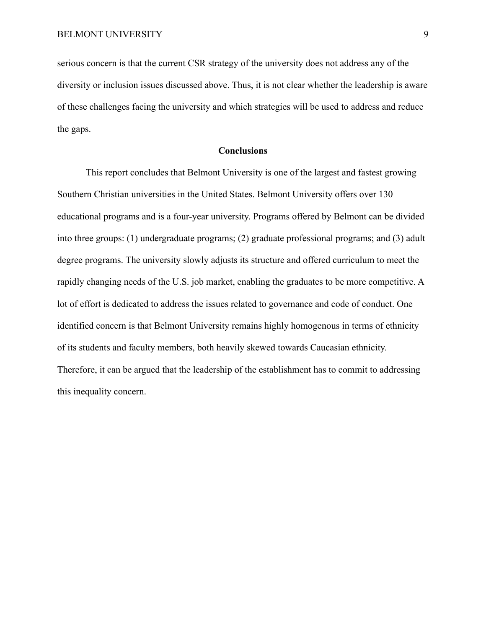serious concern is that the current CSR strategy of the university does not address any of the diversity or inclusion issues discussed above. Thus, it is not clear whether the leadership is aware of these challenges facing the university and which strategies will be used to address and reduce the gaps.

#### **Conclusions**

This report concludes that Belmont University is one of the largest and fastest growing Southern Christian universities in the United States. Belmont University offers over 130 educational programs and is a four-year university. Programs offered by Belmont can be divided into three groups: (1) undergraduate programs; (2) graduate professional programs; and (3) adult degree programs. The university slowly adjusts its structure and offered curriculum to meet the rapidly changing needs of the U.S. job market, enabling the graduates to be more competitive. A lot of effort is dedicated to address the issues related to governance and code of conduct. One identified concern is that Belmont University remains highly homogenous in terms of ethnicity of its students and faculty members, both heavily skewed towards Caucasian ethnicity. Therefore, it can be argued that the leadership of the establishment has to commit to addressing this inequality concern.